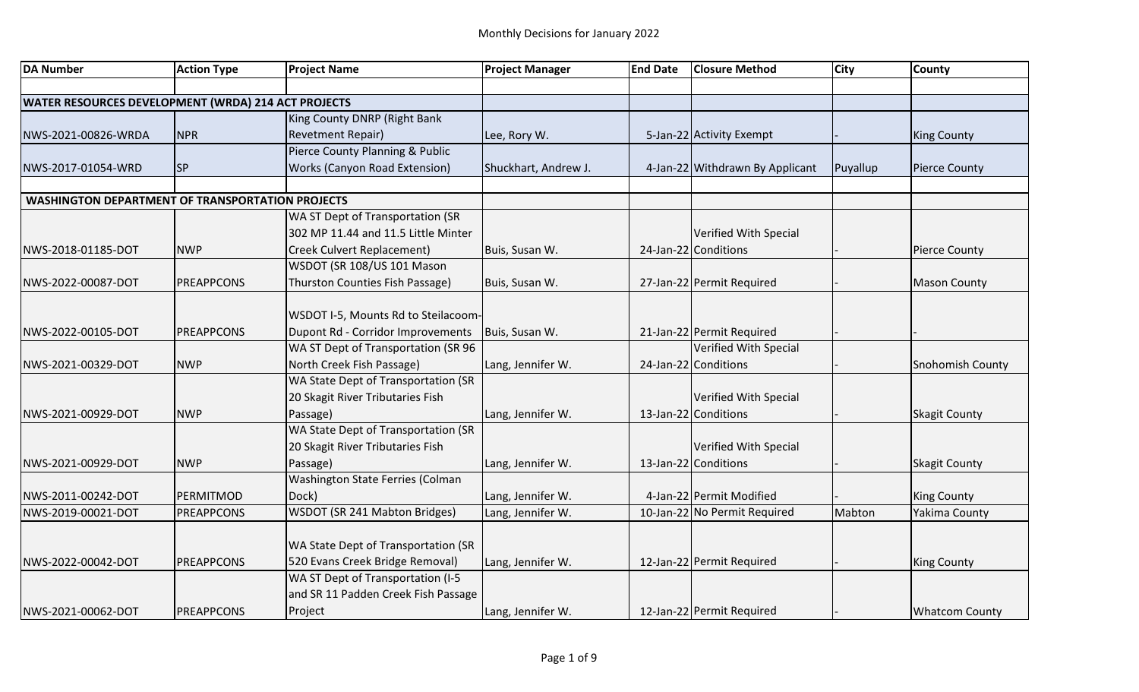| <b>DA Number</b>                                        | <b>Action Type</b> | <b>Project Name</b>                  | <b>Project Manager</b> | <b>End Date</b> | <b>Closure Method</b>           | <b>City</b> | <b>County</b>           |
|---------------------------------------------------------|--------------------|--------------------------------------|------------------------|-----------------|---------------------------------|-------------|-------------------------|
|                                                         |                    |                                      |                        |                 |                                 |             |                         |
| WATER RESOURCES DEVELOPMENT (WRDA) 214 ACT PROJECTS     |                    |                                      |                        |                 |                                 |             |                         |
|                                                         |                    | King County DNRP (Right Bank         |                        |                 |                                 |             |                         |
| NWS-2021-00826-WRDA                                     | <b>NPR</b>         | <b>Revetment Repair)</b>             | Lee, Rory W.           |                 | 5-Jan-22 Activity Exempt        |             | <b>King County</b>      |
|                                                         |                    | Pierce County Planning & Public      |                        |                 |                                 |             |                         |
| NWS-2017-01054-WRD                                      | <b>SP</b>          | <b>Works (Canyon Road Extension)</b> | Shuckhart, Andrew J.   |                 | 4-Jan-22 Withdrawn By Applicant | Puyallup    | <b>Pierce County</b>    |
|                                                         |                    |                                      |                        |                 |                                 |             |                         |
| <b>WASHINGTON DEPARTMENT OF TRANSPORTATION PROJECTS</b> |                    |                                      |                        |                 |                                 |             |                         |
|                                                         |                    | WA ST Dept of Transportation (SR     |                        |                 |                                 |             |                         |
|                                                         |                    | 302 MP 11.44 and 11.5 Little Minter  |                        |                 | Verified With Special           |             |                         |
| NWS-2018-01185-DOT                                      | <b>NWP</b>         | Creek Culvert Replacement)           | Buis, Susan W.         |                 | 24-Jan-22 Conditions            |             | <b>Pierce County</b>    |
|                                                         |                    | WSDOT (SR 108/US 101 Mason           |                        |                 |                                 |             |                         |
| NWS-2022-00087-DOT                                      | <b>PREAPPCONS</b>  | Thurston Counties Fish Passage)      | Buis, Susan W.         |                 | 27-Jan-22 Permit Required       |             | <b>Mason County</b>     |
|                                                         |                    |                                      |                        |                 |                                 |             |                         |
|                                                         |                    | WSDOT I-5, Mounts Rd to Steilacoom-  |                        |                 |                                 |             |                         |
| NWS-2022-00105-DOT                                      | <b>PREAPPCONS</b>  | Dupont Rd - Corridor Improvements    | Buis, Susan W.         |                 | 21-Jan-22 Permit Required       |             |                         |
|                                                         |                    | WA ST Dept of Transportation (SR 96  |                        |                 | Verified With Special           |             |                         |
| NWS-2021-00329-DOT                                      | <b>NWP</b>         | North Creek Fish Passage)            | Lang, Jennifer W.      |                 | 24-Jan-22 Conditions            |             | <b>Snohomish County</b> |
|                                                         |                    | WA State Dept of Transportation (SR  |                        |                 |                                 |             |                         |
|                                                         |                    | 20 Skagit River Tributaries Fish     |                        |                 | Verified With Special           |             |                         |
| NWS-2021-00929-DOT                                      | <b>NWP</b>         | Passage)                             | Lang, Jennifer W.      |                 | 13-Jan-22 Conditions            |             | <b>Skagit County</b>    |
|                                                         |                    | WA State Dept of Transportation (SR  |                        |                 |                                 |             |                         |
|                                                         |                    | 20 Skagit River Tributaries Fish     |                        |                 | Verified With Special           |             |                         |
| NWS-2021-00929-DOT                                      | <b>NWP</b>         | Passage)                             | Lang, Jennifer W.      |                 | 13-Jan-22 Conditions            |             | <b>Skagit County</b>    |
|                                                         |                    | Washington State Ferries (Colman     |                        |                 |                                 |             |                         |
| NWS-2011-00242-DOT                                      | PERMITMOD          | Dock)                                | Lang, Jennifer W.      |                 | 4-Jan-22 Permit Modified        |             | <b>King County</b>      |
| NWS-2019-00021-DOT                                      | <b>PREAPPCONS</b>  | WSDOT (SR 241 Mabton Bridges)        | Lang, Jennifer W.      |                 | 10-Jan-22 No Permit Required    | Mabton      | <b>Yakima County</b>    |
|                                                         |                    |                                      |                        |                 |                                 |             |                         |
|                                                         |                    | WA State Dept of Transportation (SR  |                        |                 |                                 |             |                         |
| NWS-2022-00042-DOT                                      | <b>PREAPPCONS</b>  | 520 Evans Creek Bridge Removal)      | Lang, Jennifer W.      |                 | 12-Jan-22 Permit Required       |             | <b>King County</b>      |
|                                                         |                    | WA ST Dept of Transportation (I-5    |                        |                 |                                 |             |                         |
|                                                         |                    | and SR 11 Padden Creek Fish Passage  |                        |                 |                                 |             |                         |
| NWS-2021-00062-DOT                                      | <b>PREAPPCONS</b>  | Project                              | Lang, Jennifer W.      |                 | 12-Jan-22 Permit Required       |             | <b>Whatcom County</b>   |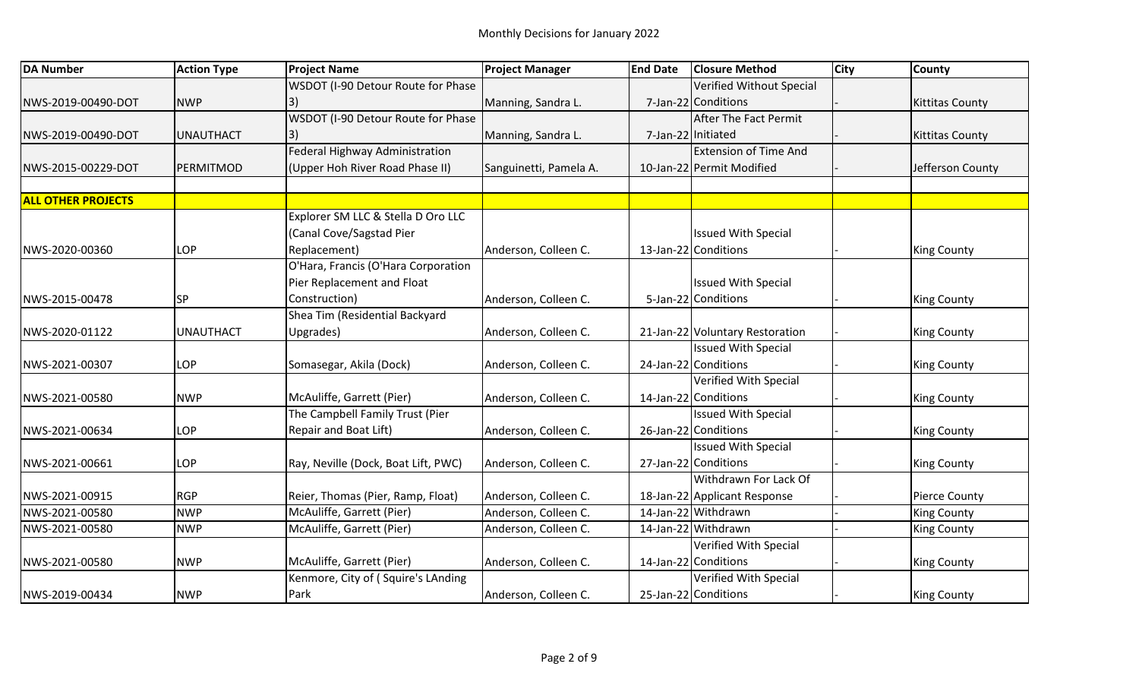| <b>DA Number</b>          | <b>Action Type</b> | <b>Project Name</b>                 | <b>Project Manager</b> | <b>End Date</b> | <b>Closure Method</b>           | <b>City</b> | <b>County</b>          |
|---------------------------|--------------------|-------------------------------------|------------------------|-----------------|---------------------------------|-------------|------------------------|
|                           |                    | WSDOT (I-90 Detour Route for Phase  |                        |                 | Verified Without Special        |             |                        |
| NWS-2019-00490-DOT        | <b>NWP</b>         | 3)                                  | Manning, Sandra L.     |                 | 7-Jan-22 Conditions             |             | <b>Kittitas County</b> |
|                           |                    | WSDOT (I-90 Detour Route for Phase  |                        |                 | After The Fact Permit           |             |                        |
| NWS-2019-00490-DOT        | <b>UNAUTHACT</b>   | I3)                                 | Manning, Sandra L.     |                 | 7-Jan-22 Initiated              |             | <b>Kittitas County</b> |
|                           |                    | Federal Highway Administration      |                        |                 | <b>Extension of Time And</b>    |             |                        |
| NWS-2015-00229-DOT        | PERMITMOD          | (Upper Hoh River Road Phase II)     | Sanguinetti, Pamela A. |                 | 10-Jan-22 Permit Modified       |             | Jefferson County       |
|                           |                    |                                     |                        |                 |                                 |             |                        |
| <b>ALL OTHER PROJECTS</b> |                    |                                     |                        |                 |                                 |             |                        |
|                           |                    | Explorer SM LLC & Stella D Oro LLC  |                        |                 |                                 |             |                        |
|                           |                    | (Canal Cove/Sagstad Pier            |                        |                 | <b>Issued With Special</b>      |             |                        |
| NWS-2020-00360            | LOP                | Replacement)                        | Anderson, Colleen C.   |                 | 13-Jan-22 Conditions            |             | <b>King County</b>     |
|                           |                    | O'Hara, Francis (O'Hara Corporation |                        |                 |                                 |             |                        |
|                           |                    | Pier Replacement and Float          |                        |                 | <b>Issued With Special</b>      |             |                        |
| NWS-2015-00478            | SP                 | Construction)                       | Anderson, Colleen C.   |                 | 5-Jan-22 Conditions             |             | <b>King County</b>     |
|                           |                    | Shea Tim (Residential Backyard      |                        |                 |                                 |             |                        |
| NWS-2020-01122            | <b>UNAUTHACT</b>   | Upgrades)                           | Anderson, Colleen C.   |                 | 21-Jan-22 Voluntary Restoration |             | <b>King County</b>     |
|                           |                    |                                     |                        |                 | <b>Issued With Special</b>      |             |                        |
| NWS-2021-00307            | LOP                | Somasegar, Akila (Dock)             | Anderson, Colleen C.   |                 | 24-Jan-22 Conditions            |             | <b>King County</b>     |
|                           |                    |                                     |                        |                 | Verified With Special           |             |                        |
| NWS-2021-00580            | <b>NWP</b>         | McAuliffe, Garrett (Pier)           | Anderson, Colleen C.   |                 | 14-Jan-22 Conditions            |             | <b>King County</b>     |
|                           |                    | The Campbell Family Trust (Pier     |                        |                 | <b>Issued With Special</b>      |             |                        |
| NWS-2021-00634            | LOP                | Repair and Boat Lift)               | Anderson, Colleen C.   |                 | 26-Jan-22 Conditions            |             | <b>King County</b>     |
|                           |                    |                                     |                        |                 | <b>Issued With Special</b>      |             |                        |
| NWS-2021-00661            | LOP                | Ray, Neville (Dock, Boat Lift, PWC) | Anderson, Colleen C.   |                 | 27-Jan-22 Conditions            |             | <b>King County</b>     |
|                           |                    |                                     |                        |                 | Withdrawn For Lack Of           |             |                        |
| NWS-2021-00915            | <b>RGP</b>         | Reier, Thomas (Pier, Ramp, Float)   | Anderson, Colleen C.   |                 | 18-Jan-22 Applicant Response    |             | <b>Pierce County</b>   |
| NWS-2021-00580            | <b>NWP</b>         | McAuliffe, Garrett (Pier)           | Anderson, Colleen C.   |                 | 14-Jan-22 Withdrawn             |             | <b>King County</b>     |
| NWS-2021-00580            | <b>NWP</b>         | McAuliffe, Garrett (Pier)           | Anderson, Colleen C.   |                 | 14-Jan-22 Withdrawn             |             | <b>King County</b>     |
|                           |                    |                                     |                        |                 | Verified With Special           |             |                        |
| NWS-2021-00580            | <b>NWP</b>         | McAuliffe, Garrett (Pier)           | Anderson, Colleen C.   |                 | 14-Jan-22 Conditions            |             | <b>King County</b>     |
|                           |                    | Kenmore, City of (Squire's LAnding  |                        |                 | Verified With Special           |             |                        |
| NWS-2019-00434            | <b>NWP</b>         | Park                                | Anderson, Colleen C.   |                 | 25-Jan-22 Conditions            |             | <b>King County</b>     |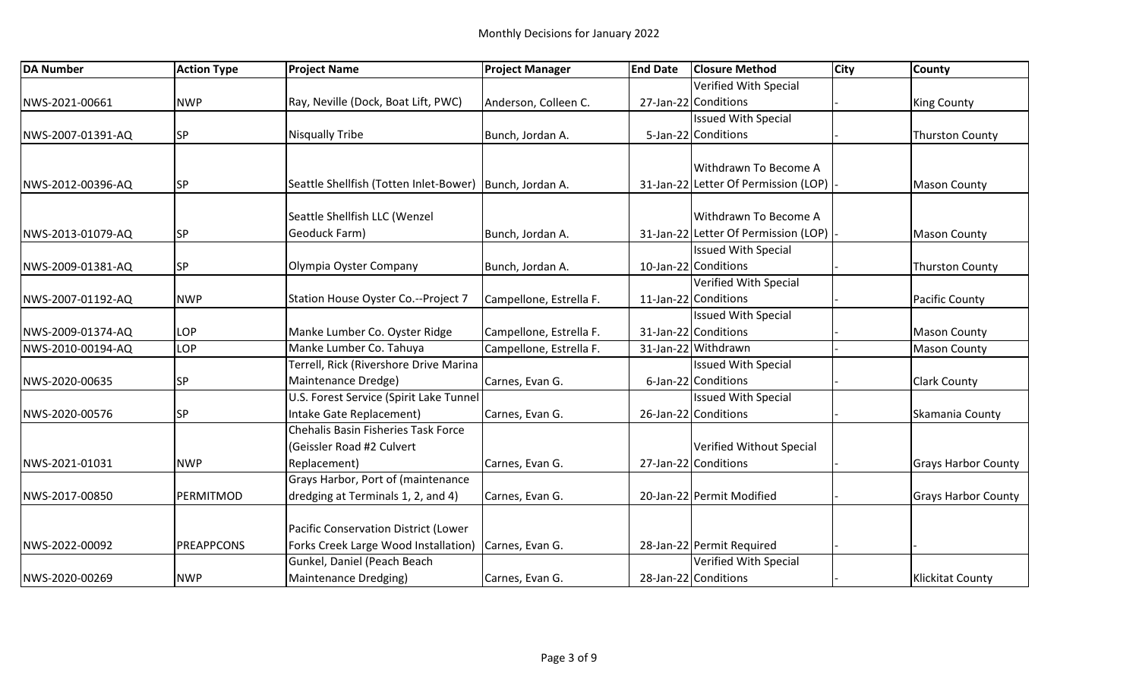| <b>DA Number</b>  | <b>Action Type</b> | <b>Project Name</b>                                       | <b>Project Manager</b>  | <b>End Date</b> | <b>Closure Method</b>                | <b>City</b> | <b>County</b>              |
|-------------------|--------------------|-----------------------------------------------------------|-------------------------|-----------------|--------------------------------------|-------------|----------------------------|
|                   |                    |                                                           |                         |                 | Verified With Special                |             |                            |
| NWS-2021-00661    | <b>NWP</b>         | Ray, Neville (Dock, Boat Lift, PWC)                       | Anderson, Colleen C.    |                 | 27-Jan-22 Conditions                 |             | <b>King County</b>         |
|                   |                    |                                                           |                         |                 | <b>Issued With Special</b>           |             |                            |
| NWS-2007-01391-AQ | <b>SP</b>          | <b>Nisqually Tribe</b>                                    | Bunch, Jordan A.        |                 | 5-Jan-22 Conditions                  |             | <b>Thurston County</b>     |
|                   |                    |                                                           |                         |                 |                                      |             |                            |
|                   |                    |                                                           |                         |                 | Withdrawn To Become A                |             |                            |
| NWS-2012-00396-AQ | <b>SP</b>          | Seattle Shellfish (Totten Inlet-Bower)   Bunch, Jordan A. |                         |                 | 31-Jan-22 Letter Of Permission (LOP) |             | <b>Mason County</b>        |
|                   |                    |                                                           |                         |                 | Withdrawn To Become A                |             |                            |
|                   |                    | Seattle Shellfish LLC (Wenzel                             |                         |                 |                                      |             |                            |
| NWS-2013-01079-AQ | <b>SP</b>          | Geoduck Farm)                                             | Bunch, Jordan A.        |                 | 31-Jan-22 Letter Of Permission (LOP) |             | <b>Mason County</b>        |
|                   |                    |                                                           |                         |                 | <b>Issued With Special</b>           |             |                            |
| NWS-2009-01381-AQ | <b>SP</b>          | Olympia Oyster Company                                    | Bunch, Jordan A.        |                 | 10-Jan-22 Conditions                 |             | <b>Thurston County</b>     |
|                   |                    |                                                           |                         |                 | Verified With Special                |             |                            |
| NWS-2007-01192-AQ | <b>NWP</b>         | Station House Oyster Co.--Project 7                       | Campellone, Estrella F. |                 | 11-Jan-22 Conditions                 |             | <b>Pacific County</b>      |
|                   |                    |                                                           |                         |                 | <b>Issued With Special</b>           |             |                            |
| NWS-2009-01374-AQ | LOP                | Manke Lumber Co. Oyster Ridge                             | Campellone, Estrella F. |                 | 31-Jan-22 Conditions                 |             | <b>Mason County</b>        |
| NWS-2010-00194-AQ | LOP                | Manke Lumber Co. Tahuya                                   | Campellone, Estrella F. |                 | 31-Jan-22 Withdrawn                  |             | <b>Mason County</b>        |
|                   |                    | Terrell, Rick (Rivershore Drive Marina                    |                         |                 | <b>Issued With Special</b>           |             |                            |
| NWS-2020-00635    | <b>SP</b>          | Maintenance Dredge)                                       | Carnes, Evan G.         |                 | 6-Jan-22 Conditions                  |             | <b>Clark County</b>        |
|                   |                    | U.S. Forest Service (Spirit Lake Tunnel                   |                         |                 | <b>Issued With Special</b>           |             |                            |
| NWS-2020-00576    | <b>SP</b>          | Intake Gate Replacement)                                  | Carnes, Evan G.         |                 | 26-Jan-22 Conditions                 |             | Skamania County            |
|                   |                    | Chehalis Basin Fisheries Task Force                       |                         |                 |                                      |             |                            |
|                   |                    | (Geissler Road #2 Culvert                                 |                         |                 | Verified Without Special             |             |                            |
| NWS-2021-01031    | <b>NWP</b>         | Replacement)                                              | Carnes, Evan G.         |                 | 27-Jan-22 Conditions                 |             | <b>Grays Harbor County</b> |
|                   |                    | Grays Harbor, Port of (maintenance                        |                         |                 |                                      |             |                            |
| NWS-2017-00850    | PERMITMOD          | dredging at Terminals 1, 2, and 4)                        | Carnes, Evan G.         |                 | 20-Jan-22 Permit Modified            |             | <b>Grays Harbor County</b> |
|                   |                    |                                                           |                         |                 |                                      |             |                            |
|                   |                    | Pacific Conservation District (Lower                      |                         |                 |                                      |             |                            |
| NWS-2022-00092    | PREAPPCONS         | Forks Creek Large Wood Installation)                      | Carnes, Evan G.         |                 | 28-Jan-22 Permit Required            |             |                            |
|                   |                    | Gunkel, Daniel (Peach Beach                               |                         |                 | Verified With Special                |             |                            |
| NWS-2020-00269    | <b>NWP</b>         | Maintenance Dredging)                                     | Carnes, Evan G.         |                 | 28-Jan-22 Conditions                 |             | <b>Klickitat County</b>    |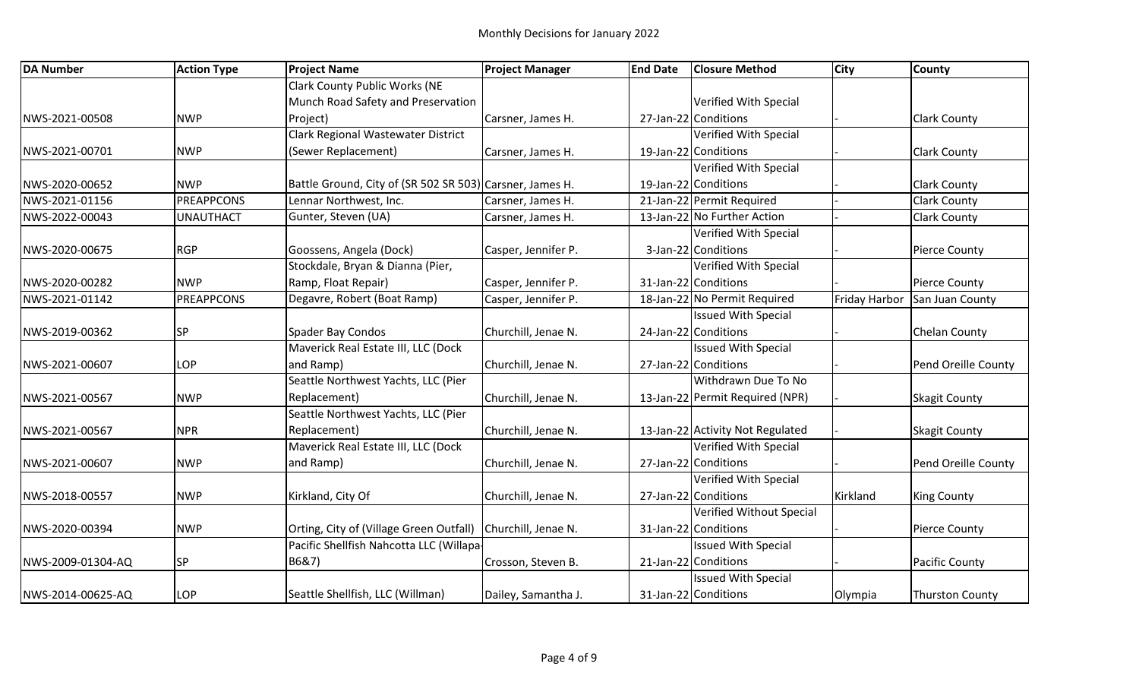| <b>DA Number</b>  | <b>Action Type</b> | <b>Project Name</b>                                      | <b>Project Manager</b> | <b>End Date</b> | <b>Closure Method</b>            | <b>City</b>   | <b>County</b>          |
|-------------------|--------------------|----------------------------------------------------------|------------------------|-----------------|----------------------------------|---------------|------------------------|
|                   |                    | <b>Clark County Public Works (NE</b>                     |                        |                 |                                  |               |                        |
|                   |                    | Munch Road Safety and Preservation                       |                        |                 | Verified With Special            |               |                        |
| NWS-2021-00508    | <b>NWP</b>         | Project)                                                 | Carsner, James H.      |                 | 27-Jan-22 Conditions             |               | <b>Clark County</b>    |
|                   |                    | Clark Regional Wastewater District                       |                        |                 | Verified With Special            |               |                        |
| NWS-2021-00701    | <b>NWP</b>         | (Sewer Replacement)                                      | Carsner, James H.      |                 | 19-Jan-22 Conditions             |               | <b>Clark County</b>    |
|                   |                    |                                                          |                        |                 | Verified With Special            |               |                        |
| NWS-2020-00652    | <b>NWP</b>         | Battle Ground, City of (SR 502 SR 503) Carsner, James H. |                        |                 | 19-Jan-22 Conditions             |               | <b>Clark County</b>    |
| NWS-2021-01156    | <b>PREAPPCONS</b>  | Lennar Northwest, Inc.                                   | Carsner, James H.      |                 | 21-Jan-22 Permit Required        |               | <b>Clark County</b>    |
| NWS-2022-00043    | <b>UNAUTHACT</b>   | Gunter, Steven (UA)                                      | Carsner, James H.      |                 | 13-Jan-22 No Further Action      |               | <b>Clark County</b>    |
|                   |                    |                                                          |                        |                 | Verified With Special            |               |                        |
| NWS-2020-00675    | <b>RGP</b>         | Goossens, Angela (Dock)                                  | Casper, Jennifer P.    |                 | 3-Jan-22 Conditions              |               | <b>Pierce County</b>   |
|                   |                    | Stockdale, Bryan & Dianna (Pier,                         |                        |                 | Verified With Special            |               |                        |
| NWS-2020-00282    | <b>NWP</b>         | Ramp, Float Repair)                                      | Casper, Jennifer P.    |                 | 31-Jan-22 Conditions             |               | <b>Pierce County</b>   |
| NWS-2021-01142    | <b>PREAPPCONS</b>  | Degavre, Robert (Boat Ramp)                              | Casper, Jennifer P.    |                 | 18-Jan-22 No Permit Required     | Friday Harbor | San Juan County        |
|                   |                    |                                                          |                        |                 | <b>Issued With Special</b>       |               |                        |
| NWS-2019-00362    | <b>SP</b>          | Spader Bay Condos                                        | Churchill, Jenae N.    |                 | 24-Jan-22 Conditions             |               | Chelan County          |
|                   |                    | Maverick Real Estate III, LLC (Dock                      |                        |                 | <b>Issued With Special</b>       |               |                        |
| NWS-2021-00607    | LOP                | and Ramp)                                                | Churchill, Jenae N.    |                 | 27-Jan-22 Conditions             |               | Pend Oreille County    |
|                   |                    | Seattle Northwest Yachts, LLC (Pier                      |                        |                 | Withdrawn Due To No              |               |                        |
| NWS-2021-00567    | <b>NWP</b>         | Replacement)                                             | Churchill, Jenae N.    |                 | 13-Jan-22 Permit Required (NPR)  |               | <b>Skagit County</b>   |
|                   |                    | Seattle Northwest Yachts, LLC (Pier                      |                        |                 |                                  |               |                        |
| NWS-2021-00567    | <b>NPR</b>         | Replacement)                                             | Churchill, Jenae N.    |                 | 13-Jan-22 Activity Not Regulated |               | <b>Skagit County</b>   |
|                   |                    | Maverick Real Estate III, LLC (Dock                      |                        |                 | Verified With Special            |               |                        |
| NWS-2021-00607    | <b>NWP</b>         | and Ramp)                                                | Churchill, Jenae N.    |                 | 27-Jan-22 Conditions             |               | Pend Oreille County    |
|                   |                    |                                                          |                        |                 | Verified With Special            |               |                        |
| NWS-2018-00557    | <b>NWP</b>         | Kirkland, City Of                                        | Churchill, Jenae N.    |                 | 27-Jan-22 Conditions             | Kirkland      | <b>King County</b>     |
|                   |                    |                                                          |                        |                 | Verified Without Special         |               |                        |
| NWS-2020-00394    | <b>NWP</b>         | Orting, City of (Village Green Outfall)                  | Churchill, Jenae N.    |                 | 31-Jan-22 Conditions             |               | <b>Pierce County</b>   |
|                   |                    | Pacific Shellfish Nahcotta LLC (Willapa-                 |                        |                 | <b>Issued With Special</b>       |               |                        |
| NWS-2009-01304-AQ | <b>SP</b>          | B6&7)                                                    | Crosson, Steven B.     |                 | 21-Jan-22 Conditions             |               | Pacific County         |
|                   |                    |                                                          |                        |                 | <b>Issued With Special</b>       |               |                        |
| NWS-2014-00625-AQ | LOP                | Seattle Shellfish, LLC (Willman)                         | Dailey, Samantha J.    |                 | 31-Jan-22 Conditions             | Olympia       | <b>Thurston County</b> |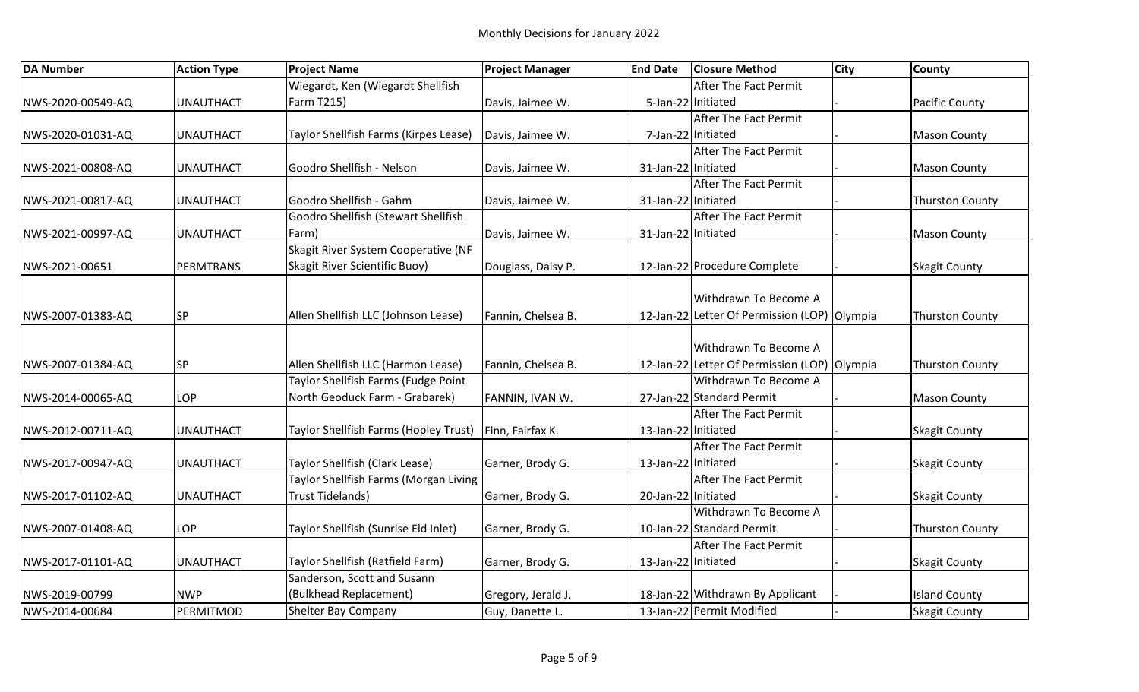| <b>DA Number</b>  | <b>Action Type</b> | <b>Project Name</b>                   | <b>Project Manager</b> | <b>End Date</b>     | <b>Closure Method</b>                        | <b>City</b> | <b>County</b>          |
|-------------------|--------------------|---------------------------------------|------------------------|---------------------|----------------------------------------------|-------------|------------------------|
|                   |                    | Wiegardt, Ken (Wiegardt Shellfish     |                        |                     | After The Fact Permit                        |             |                        |
| NWS-2020-00549-AQ | <b>UNAUTHACT</b>   | Farm T215)                            | Davis, Jaimee W.       |                     | 5-Jan-22 Initiated                           |             | <b>Pacific County</b>  |
|                   |                    |                                       |                        |                     | After The Fact Permit                        |             |                        |
| NWS-2020-01031-AQ | <b>UNAUTHACT</b>   | Taylor Shellfish Farms (Kirpes Lease) | Davis, Jaimee W.       |                     | 7-Jan-22 Initiated                           |             | <b>Mason County</b>    |
|                   |                    |                                       |                        |                     | <b>After The Fact Permit</b>                 |             |                        |
| NWS-2021-00808-AQ | <b>UNAUTHACT</b>   | Goodro Shellfish - Nelson             | Davis, Jaimee W.       | 31-Jan-22 Initiated |                                              |             | <b>Mason County</b>    |
|                   |                    |                                       |                        |                     | After The Fact Permit                        |             |                        |
| NWS-2021-00817-AQ | <b>UNAUTHACT</b>   | Goodro Shellfish - Gahm               | Davis, Jaimee W.       | 31-Jan-22 Initiated |                                              |             | <b>Thurston County</b> |
|                   |                    | Goodro Shellfish (Stewart Shellfish   |                        |                     | After The Fact Permit                        |             |                        |
| NWS-2021-00997-AQ | <b>UNAUTHACT</b>   | Farm)                                 | Davis, Jaimee W.       | 31-Jan-22 Initiated |                                              |             | <b>Mason County</b>    |
|                   |                    | Skagit River System Cooperative (NF   |                        |                     |                                              |             |                        |
| NWS-2021-00651    | PERMTRANS          | Skagit River Scientific Buoy)         | Douglass, Daisy P.     |                     | 12-Jan-22 Procedure Complete                 |             | <b>Skagit County</b>   |
|                   |                    |                                       |                        |                     |                                              |             |                        |
|                   |                    |                                       |                        |                     | Withdrawn To Become A                        |             |                        |
| NWS-2007-01383-AQ | SP                 | Allen Shellfish LLC (Johnson Lease)   | Fannin, Chelsea B.     |                     | 12-Jan-22 Letter Of Permission (LOP) Olympia |             | <b>Thurston County</b> |
|                   |                    |                                       |                        |                     |                                              |             |                        |
|                   |                    |                                       |                        |                     | Withdrawn To Become A                        |             |                        |
| NWS-2007-01384-AQ | <b>SP</b>          | Allen Shellfish LLC (Harmon Lease)    | Fannin, Chelsea B.     |                     | 12-Jan-22 Letter Of Permission (LOP) Olympia |             | <b>Thurston County</b> |
|                   |                    | Taylor Shellfish Farms (Fudge Point   |                        |                     | Withdrawn To Become A                        |             |                        |
| NWS-2014-00065-AQ | LOP                | North Geoduck Farm - Grabarek)        | FANNIN, IVAN W.        |                     | 27-Jan-22 Standard Permit                    |             | <b>Mason County</b>    |
|                   |                    |                                       |                        |                     | <b>After The Fact Permit</b>                 |             |                        |
| NWS-2012-00711-AQ | <b>UNAUTHACT</b>   | Taylor Shellfish Farms (Hopley Trust) | Finn, Fairfax K.       | 13-Jan-22 Initiated |                                              |             | <b>Skagit County</b>   |
|                   |                    |                                       |                        |                     | After The Fact Permit                        |             |                        |
| NWS-2017-00947-AQ | <b>UNAUTHACT</b>   | Taylor Shellfish (Clark Lease)        | Garner, Brody G.       | 13-Jan-22 Initiated |                                              |             | <b>Skagit County</b>   |
|                   |                    | Taylor Shellfish Farms (Morgan Living |                        |                     | After The Fact Permit                        |             |                        |
| NWS-2017-01102-AQ | <b>UNAUTHACT</b>   | <b>Trust Tidelands)</b>               | Garner, Brody G.       | 20-Jan-22 Initiated |                                              |             | <b>Skagit County</b>   |
|                   |                    |                                       |                        |                     | Withdrawn To Become A                        |             |                        |
| NWS-2007-01408-AQ | LOP                | Taylor Shellfish (Sunrise Eld Inlet)  | Garner, Brody G.       |                     | 10-Jan-22 Standard Permit                    |             | <b>Thurston County</b> |
|                   |                    |                                       |                        |                     | After The Fact Permit                        |             |                        |
| NWS-2017-01101-AQ | <b>UNAUTHACT</b>   | Taylor Shellfish (Ratfield Farm)      | Garner, Brody G.       | 13-Jan-22 Initiated |                                              |             | <b>Skagit County</b>   |
|                   |                    | Sanderson, Scott and Susann           |                        |                     |                                              |             |                        |
| NWS-2019-00799    | <b>NWP</b>         | (Bulkhead Replacement)                | Gregory, Jerald J.     |                     | 18-Jan-22 Withdrawn By Applicant             |             | <b>Island County</b>   |
| NWS-2014-00684    | PERMITMOD          | <b>Shelter Bay Company</b>            | Guy, Danette L.        |                     | 13-Jan-22 Permit Modified                    |             | <b>Skagit County</b>   |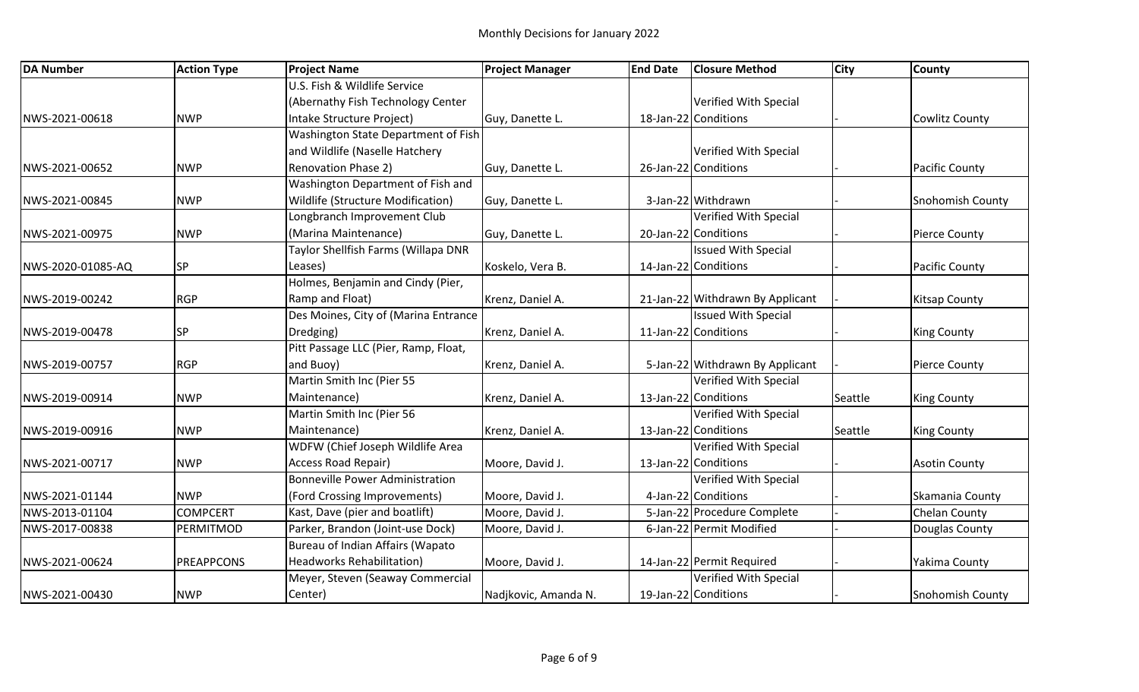| <b>DA Number</b>  | <b>Action Type</b> | <b>Project Name</b>                    | <b>Project Manager</b> | <b>End Date</b> | <b>Closure Method</b>            | <b>City</b> | <b>County</b>           |
|-------------------|--------------------|----------------------------------------|------------------------|-----------------|----------------------------------|-------------|-------------------------|
|                   |                    | U.S. Fish & Wildlife Service           |                        |                 |                                  |             |                         |
|                   |                    | (Abernathy Fish Technology Center      |                        |                 | Verified With Special            |             |                         |
| NWS-2021-00618    | <b>NWP</b>         | Intake Structure Project)              | Guy, Danette L.        |                 | 18-Jan-22 Conditions             |             | <b>Cowlitz County</b>   |
|                   |                    | Washington State Department of Fish    |                        |                 |                                  |             |                         |
|                   |                    | and Wildlife (Naselle Hatchery         |                        |                 | Verified With Special            |             |                         |
| NWS-2021-00652    | <b>NWP</b>         | <b>Renovation Phase 2)</b>             | Guy, Danette L.        |                 | 26-Jan-22 Conditions             |             | <b>Pacific County</b>   |
|                   |                    | Washington Department of Fish and      |                        |                 |                                  |             |                         |
| NWS-2021-00845    | <b>NWP</b>         | Wildlife (Structure Modification)      | Guy, Danette L.        |                 | 3-Jan-22 Withdrawn               |             | <b>Snohomish County</b> |
|                   |                    | Longbranch Improvement Club            |                        |                 | Verified With Special            |             |                         |
| NWS-2021-00975    | <b>NWP</b>         | (Marina Maintenance)                   | Guy, Danette L.        |                 | 20-Jan-22 Conditions             |             | <b>Pierce County</b>    |
|                   |                    | Taylor Shellfish Farms (Willapa DNR    |                        |                 | <b>Issued With Special</b>       |             |                         |
| NWS-2020-01085-AQ | <b>SP</b>          | Leases)                                | Koskelo, Vera B.       |                 | 14-Jan-22 Conditions             |             | <b>Pacific County</b>   |
|                   |                    | Holmes, Benjamin and Cindy (Pier,      |                        |                 |                                  |             |                         |
| NWS-2019-00242    | <b>RGP</b>         | Ramp and Float)                        | Krenz, Daniel A.       |                 | 21-Jan-22 Withdrawn By Applicant |             | <b>Kitsap County</b>    |
|                   |                    | Des Moines, City of (Marina Entrance   |                        |                 | <b>Issued With Special</b>       |             |                         |
| NWS-2019-00478    | <b>SP</b>          | Dredging)                              | Krenz, Daniel A.       |                 | 11-Jan-22 Conditions             |             | <b>King County</b>      |
|                   |                    | Pitt Passage LLC (Pier, Ramp, Float,   |                        |                 |                                  |             |                         |
| NWS-2019-00757    | <b>RGP</b>         | and Buoy)                              | Krenz, Daniel A.       |                 | 5-Jan-22 Withdrawn By Applicant  |             | <b>Pierce County</b>    |
|                   |                    | Martin Smith Inc (Pier 55              |                        |                 | Verified With Special            |             |                         |
| NWS-2019-00914    | <b>NWP</b>         | Maintenance)                           | Krenz, Daniel A.       |                 | 13-Jan-22 Conditions             | Seattle     | <b>King County</b>      |
|                   |                    | Martin Smith Inc (Pier 56              |                        |                 | Verified With Special            |             |                         |
| NWS-2019-00916    | <b>NWP</b>         | Maintenance)                           | Krenz, Daniel A.       |                 | 13-Jan-22 Conditions             | Seattle     | <b>King County</b>      |
|                   |                    | WDFW (Chief Joseph Wildlife Area       |                        |                 | Verified With Special            |             |                         |
| NWS-2021-00717    | <b>NWP</b>         | Access Road Repair)                    | Moore, David J.        |                 | 13-Jan-22 Conditions             |             | <b>Asotin County</b>    |
|                   |                    | <b>Bonneville Power Administration</b> |                        |                 | Verified With Special            |             |                         |
| NWS-2021-01144    | <b>NWP</b>         | (Ford Crossing Improvements)           | Moore, David J.        |                 | 4-Jan-22 Conditions              |             | Skamania County         |
| NWS-2013-01104    | <b>COMPCERT</b>    | Kast, Dave (pier and boatlift)         | Moore, David J.        |                 | 5-Jan-22 Procedure Complete      |             | Chelan County           |
| NWS-2017-00838    | PERMITMOD          | Parker, Brandon (Joint-use Dock)       | Moore, David J.        |                 | 6-Jan-22 Permit Modified         |             | Douglas County          |
|                   |                    | Bureau of Indian Affairs (Wapato       |                        |                 |                                  |             |                         |
| NWS-2021-00624    | PREAPPCONS         | <b>Headworks Rehabilitation)</b>       | Moore, David J.        |                 | 14-Jan-22 Permit Required        |             | Yakima County           |
|                   |                    | Meyer, Steven (Seaway Commercial       |                        |                 | Verified With Special            |             |                         |
| NWS-2021-00430    | <b>NWP</b>         | Center)                                | Nadjkovic, Amanda N.   |                 | 19-Jan-22 Conditions             |             | <b>Snohomish County</b> |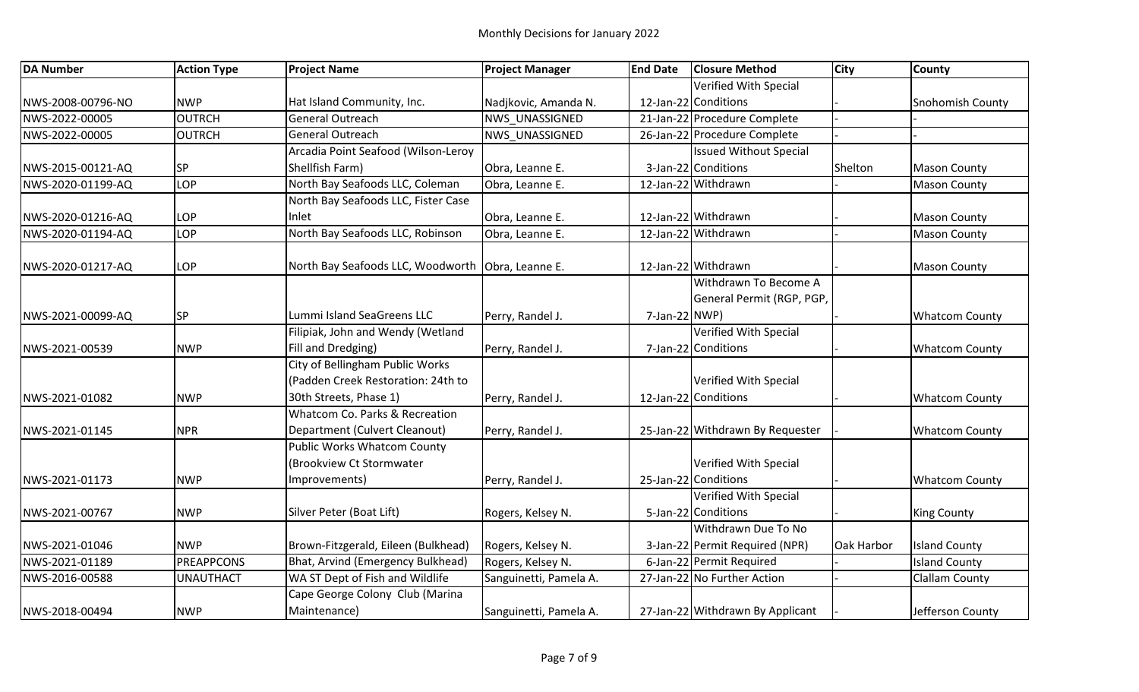| <b>DA Number</b>  | <b>Action Type</b> | <b>Project Name</b>                    | <b>Project Manager</b> | <b>End Date</b> | <b>Closure Method</b>            | <b>City</b> | <b>County</b>           |
|-------------------|--------------------|----------------------------------------|------------------------|-----------------|----------------------------------|-------------|-------------------------|
|                   |                    |                                        |                        |                 | Verified With Special            |             |                         |
| NWS-2008-00796-NO | <b>NWP</b>         | Hat Island Community, Inc.             | Nadjkovic, Amanda N.   |                 | 12-Jan-22 Conditions             |             | <b>Snohomish County</b> |
| NWS-2022-00005    | <b>OUTRCH</b>      | <b>General Outreach</b>                | NWS UNASSIGNED         |                 | 21-Jan-22 Procedure Complete     |             |                         |
| NWS-2022-00005    | <b>OUTRCH</b>      | General Outreach                       | NWS UNASSIGNED         |                 | 26-Jan-22 Procedure Complete     |             |                         |
|                   |                    | Arcadia Point Seafood (Wilson-Leroy    |                        |                 | <b>Issued Without Special</b>    |             |                         |
| NWS-2015-00121-AQ | SP                 | Shellfish Farm)                        | Obra, Leanne E.        |                 | 3-Jan-22 Conditions              | Shelton     | <b>Mason County</b>     |
| NWS-2020-01199-AQ | LOP                | North Bay Seafoods LLC, Coleman        | Obra, Leanne E.        |                 | 12-Jan-22 Withdrawn              |             | <b>Mason County</b>     |
|                   |                    | North Bay Seafoods LLC, Fister Case    |                        |                 |                                  |             |                         |
| NWS-2020-01216-AQ | LOP                | Inlet                                  | Obra, Leanne E.        |                 | 12-Jan-22 Withdrawn              |             | <b>Mason County</b>     |
| NWS-2020-01194-AQ | LOP                | North Bay Seafoods LLC, Robinson       | Obra, Leanne E.        |                 | 12-Jan-22 Withdrawn              |             | <b>Mason County</b>     |
| NWS-2020-01217-AQ | LOP                | North Bay Seafoods LLC, Woodworth      | Obra, Leanne E.        |                 | 12-Jan-22 Withdrawn              |             | <b>Mason County</b>     |
|                   |                    |                                        |                        |                 | Withdrawn To Become A            |             |                         |
|                   |                    |                                        |                        |                 | General Permit (RGP, PGP,        |             |                         |
| NWS-2021-00099-AQ | SP                 | Lummi Island SeaGreens LLC             | Perry, Randel J.       | 7-Jan-22 NWP)   |                                  |             | <b>Whatcom County</b>   |
|                   |                    | Filipiak, John and Wendy (Wetland      |                        |                 | Verified With Special            |             |                         |
| NWS-2021-00539    | <b>NWP</b>         | Fill and Dredging)                     | Perry, Randel J.       |                 | 7-Jan-22 Conditions              |             | <b>Whatcom County</b>   |
|                   |                    | <b>City of Bellingham Public Works</b> |                        |                 |                                  |             |                         |
|                   |                    | (Padden Creek Restoration: 24th to     |                        |                 | Verified With Special            |             |                         |
| NWS-2021-01082    | <b>NWP</b>         | 30th Streets, Phase 1)                 | Perry, Randel J.       |                 | 12-Jan-22 Conditions             |             | <b>Whatcom County</b>   |
|                   |                    | Whatcom Co. Parks & Recreation         |                        |                 |                                  |             |                         |
| NWS-2021-01145    | <b>NPR</b>         | Department (Culvert Cleanout)          | Perry, Randel J.       |                 | 25-Jan-22 Withdrawn By Requester |             | <b>Whatcom County</b>   |
|                   |                    | Public Works Whatcom County            |                        |                 |                                  |             |                         |
|                   |                    | (Brookview Ct Stormwater               |                        |                 | Verified With Special            |             |                         |
| NWS-2021-01173    | <b>NWP</b>         | Improvements)                          | Perry, Randel J.       |                 | 25-Jan-22 Conditions             |             | <b>Whatcom County</b>   |
|                   |                    |                                        |                        |                 | Verified With Special            |             |                         |
| NWS-2021-00767    | <b>NWP</b>         | Silver Peter (Boat Lift)               | Rogers, Kelsey N.      |                 | 5-Jan-22 Conditions              |             | <b>King County</b>      |
|                   |                    |                                        |                        |                 | Withdrawn Due To No              |             |                         |
| NWS-2021-01046    | <b>NWP</b>         | Brown-Fitzgerald, Eileen (Bulkhead)    | Rogers, Kelsey N.      |                 | 3-Jan-22 Permit Required (NPR)   | Oak Harbor  | <b>Island County</b>    |
| NWS-2021-01189    | <b>PREAPPCONS</b>  | Bhat, Arvind (Emergency Bulkhead)      | Rogers, Kelsey N.      |                 | 6-Jan-22 Permit Required         |             | <b>Island County</b>    |
| NWS-2016-00588    | <b>UNAUTHACT</b>   | WA ST Dept of Fish and Wildlife        | Sanguinetti, Pamela A. |                 | 27-Jan-22 No Further Action      |             | <b>Clallam County</b>   |
|                   |                    | Cape George Colony Club (Marina        |                        |                 |                                  |             |                         |
| NWS-2018-00494    | <b>NWP</b>         | Maintenance)                           | Sanguinetti, Pamela A. |                 | 27-Jan-22 Withdrawn By Applicant |             | Jefferson County        |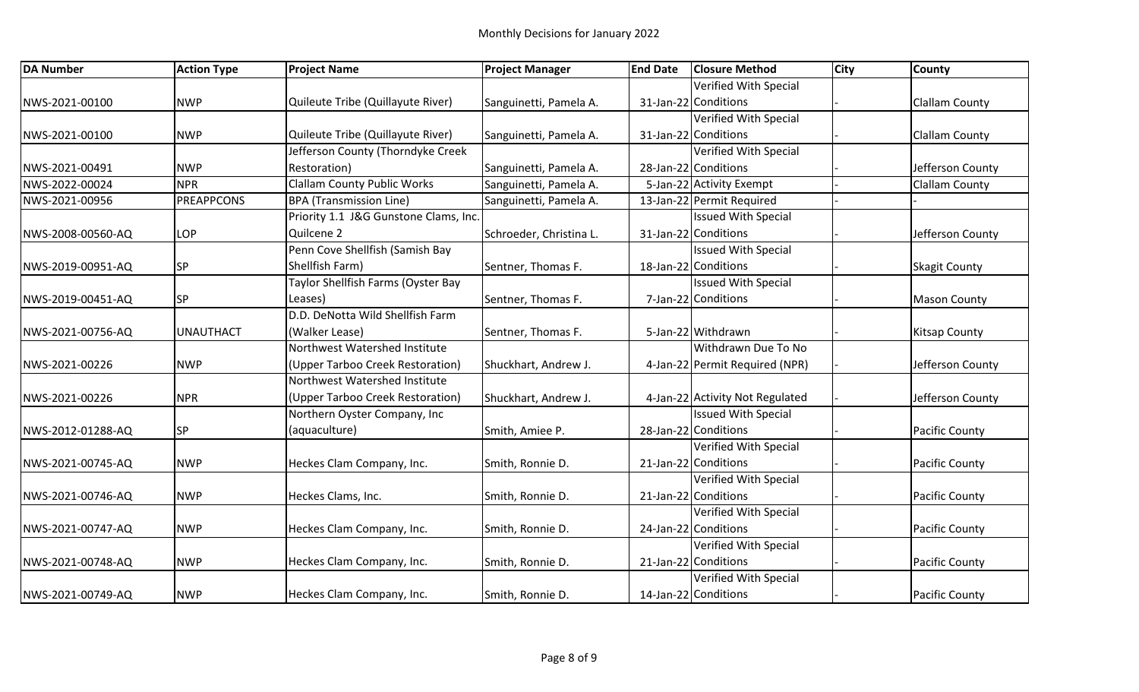| <b>DA Number</b>  | <b>Action Type</b> | <b>Project Name</b>                   | <b>Project Manager</b>  | <b>End Date</b> | <b>Closure Method</b>           | <b>City</b> | <b>County</b>         |
|-------------------|--------------------|---------------------------------------|-------------------------|-----------------|---------------------------------|-------------|-----------------------|
|                   |                    |                                       |                         |                 | Verified With Special           |             |                       |
| NWS-2021-00100    | <b>NWP</b>         | Quileute Tribe (Quillayute River)     | Sanguinetti, Pamela A.  |                 | 31-Jan-22 Conditions            |             | <b>Clallam County</b> |
|                   |                    |                                       |                         |                 | <b>Verified With Special</b>    |             |                       |
| NWS-2021-00100    | <b>NWP</b>         | Quileute Tribe (Quillayute River)     | Sanguinetti, Pamela A.  |                 | 31-Jan-22 Conditions            |             | <b>Clallam County</b> |
|                   |                    | Jefferson County (Thorndyke Creek     |                         |                 | Verified With Special           |             |                       |
| NWS-2021-00491    | <b>NWP</b>         | Restoration)                          | Sanguinetti, Pamela A.  |                 | 28-Jan-22 Conditions            |             | Jefferson County      |
| NWS-2022-00024    | <b>NPR</b>         | <b>Clallam County Public Works</b>    | Sanguinetti, Pamela A.  |                 | 5-Jan-22 Activity Exempt        |             | <b>Clallam County</b> |
| NWS-2021-00956    | <b>PREAPPCONS</b>  | <b>BPA</b> (Transmission Line)        | Sanguinetti, Pamela A.  |                 | 13-Jan-22 Permit Required       |             |                       |
|                   |                    | Priority 1.1 J&G Gunstone Clams, Inc. |                         |                 | <b>Issued With Special</b>      |             |                       |
| NWS-2008-00560-AQ | LOP                | Quilcene 2                            | Schroeder, Christina L. |                 | 31-Jan-22 Conditions            |             | Jefferson County      |
|                   |                    | Penn Cove Shellfish (Samish Bay       |                         |                 | <b>Issued With Special</b>      |             |                       |
| NWS-2019-00951-AQ | <b>SP</b>          | Shellfish Farm)                       | Sentner, Thomas F.      |                 | 18-Jan-22 Conditions            |             | <b>Skagit County</b>  |
|                   |                    | Taylor Shellfish Farms (Oyster Bay    |                         |                 | <b>Issued With Special</b>      |             |                       |
| NWS-2019-00451-AQ | <b>SP</b>          | Leases)                               | Sentner, Thomas F.      |                 | 7-Jan-22 Conditions             |             | <b>Mason County</b>   |
|                   |                    | D.D. DeNotta Wild Shellfish Farm      |                         |                 |                                 |             |                       |
| NWS-2021-00756-AQ | <b>UNAUTHACT</b>   | (Walker Lease)                        | Sentner, Thomas F.      |                 | 5-Jan-22 Withdrawn              |             | <b>Kitsap County</b>  |
|                   |                    | Northwest Watershed Institute         |                         |                 | Withdrawn Due To No             |             |                       |
| NWS-2021-00226    | <b>NWP</b>         | (Upper Tarboo Creek Restoration)      | Shuckhart, Andrew J.    |                 | 4-Jan-22 Permit Required (NPR)  |             | Jefferson County      |
|                   |                    | Northwest Watershed Institute         |                         |                 |                                 |             |                       |
| NWS-2021-00226    | <b>NPR</b>         | (Upper Tarboo Creek Restoration)      | Shuckhart, Andrew J.    |                 | 4-Jan-22 Activity Not Regulated |             | Jefferson County      |
|                   |                    | Northern Oyster Company, Inc          |                         |                 | <b>Issued With Special</b>      |             |                       |
| NWS-2012-01288-AQ | <b>SP</b>          | (aquaculture)                         | Smith, Amiee P.         |                 | 28-Jan-22 Conditions            |             | <b>Pacific County</b> |
|                   |                    |                                       |                         |                 | Verified With Special           |             |                       |
| NWS-2021-00745-AQ | <b>NWP</b>         | Heckes Clam Company, Inc.             | Smith, Ronnie D.        |                 | 21-Jan-22 Conditions            |             | <b>Pacific County</b> |
|                   |                    |                                       |                         |                 | Verified With Special           |             |                       |
| NWS-2021-00746-AQ | <b>NWP</b>         | Heckes Clams, Inc.                    | Smith, Ronnie D.        |                 | 21-Jan-22 Conditions            |             | <b>Pacific County</b> |
|                   |                    |                                       |                         |                 | Verified With Special           |             |                       |
| NWS-2021-00747-AQ | <b>NWP</b>         | Heckes Clam Company, Inc.             | Smith, Ronnie D.        |                 | 24-Jan-22 Conditions            |             | Pacific County        |
|                   |                    |                                       |                         |                 | Verified With Special           |             |                       |
| NWS-2021-00748-AQ | <b>NWP</b>         | Heckes Clam Company, Inc.             | Smith, Ronnie D.        |                 | 21-Jan-22 Conditions            |             | Pacific County        |
|                   |                    |                                       |                         |                 | Verified With Special           |             |                       |
| NWS-2021-00749-AQ | <b>NWP</b>         | Heckes Clam Company, Inc.             | Smith, Ronnie D.        |                 | 14-Jan-22 Conditions            |             | Pacific County        |